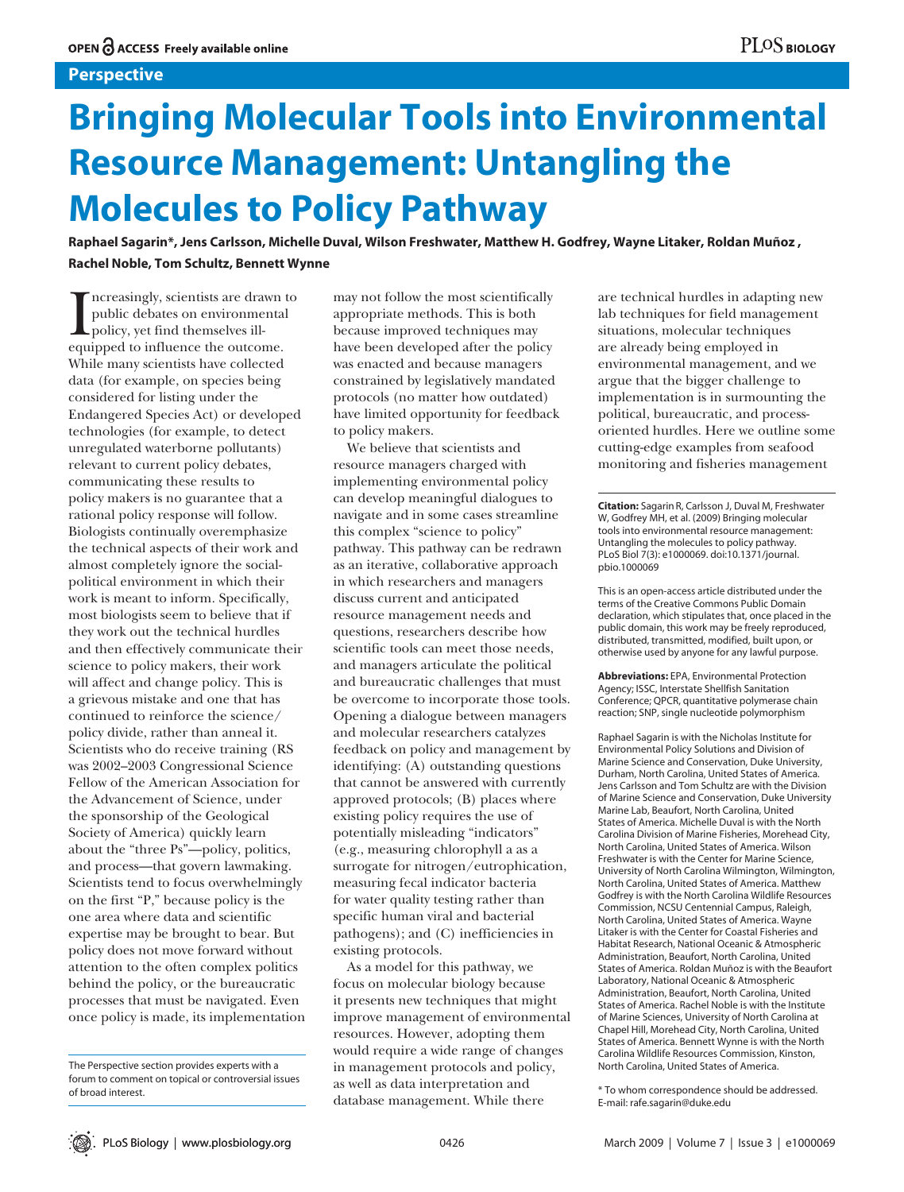### **Perspective**

# **Bringing Molecular Tools into Environmental Resource Management: Untangling the Molecules to Policy Pathway**

**Raphael Sagarin\*, Jens Carlsson, Michelle Duval, Wilson Freshwater, Matthew H. Godfrey, Wayne Litaker, Roldan Muñoz , Rachel Noble, Tom Schultz, Bennett Wynne**

I ncreasingly, scientists are drawn to public debates on environmental policy, yet find themselves illequipped to influence the outcome. ncreasingly, scientists are drawn to public debates on environmental policy, yet find themselves ill-While many scientists have collected data (for example, on species being considered for listing under the Endangered Species Act) or developed technologies (for example, to detect unregulated waterborne pollutants) relevant to current policy debates, communicating these results to policy makers is no guarantee that a rational policy response will follow. Biologists continually overemphasize the technical aspects of their work and almost completely ignore the socialpolitical environment in which their work is meant to inform. Specifically, most biologists seem to believe that if they work out the technical hurdles and then effectively communicate their science to policy makers, their work will affect and change policy. This is a grievous mistake and one that has continued to reinforce the science/ policy divide, rather than anneal it. Scientists who do receive training (RS was 2002–2003 Congressional Science Fellow of the American Association for the Advancement of Science, under the sponsorship of the Geological Society of America) quickly learn about the "three Ps"—policy, politics, and process—that govern lawmaking. Scientists tend to focus overwhelmingly on the first "P," because policy is the one area where data and scientific expertise may be brought to bear. But policy does not move forward without attention to the often complex politics behind the policy, or the bureaucratic processes that must be navigated. Even once policy is made, its implementation

may not follow the most scientifically appropriate methods. This is both because improved techniques may have been developed after the policy was enacted and because managers constrained by legislatively mandated protocols (no matter how outdated) have limited opportunity for feedback to policy makers.

We believe that scientists and resource managers charged with implementing environmental policy can develop meaningful dialogues to navigate and in some cases streamline this complex "science to policy" pathway. This pathway can be redrawn as an iterative, collaborative approach in which researchers and managers discuss current and anticipated resource management needs and questions, researchers describe how scientific tools can meet those needs, and managers articulate the political and bureaucratic challenges that must be overcome to incorporate those tools. Opening a dialogue between managers and molecular researchers catalyzes feedback on policy and management by identifying: (A) outstanding questions that cannot be answered with currently approved protocols; (B) places where existing policy requires the use of potentially misleading "indicators" (e.g., measuring chlorophyll a as a surrogate for nitrogen/eutrophication, measuring fecal indicator bacteria for water quality testing rather than specific human viral and bacterial pathogens); and (C) inefficiencies in existing protocols.

As a model for this pathway, we focus on molecular biology because it presents new techniques that might improve management of environmental resources. However, adopting them would require a wide range of changes in management protocols and policy, as well as data interpretation and database management. While there

are technical hurdles in adapting new lab techniques for field management situations, molecular techniques are already being employed in environmental management, and we argue that the bigger challenge to implementation is in surmounting the political, bureaucratic, and processoriented hurdles. Here we outline some cutting-edge examples from seafood monitoring and fisheries management

**Citation:** Sagarin R, Carlsson J, Duval M, Freshwater W, Godfrey MH, et al. (2009) Bringing molecular tools into environmental resource management: Untangling the molecules to policy pathway. PLoS Biol 7(3): e1000069. doi:10.1371/journal. pbio.1000069

This is an open-access article distributed under the terms of the Creative Commons Public Domain declaration, which stipulates that, once placed in the public domain, this work may be freely reproduced, distributed, transmitted, modified, built upon, or otherwise used by anyone for any lawful purpose.

**Abbreviations:** EPA, Environmental Protection Agency; ISSC, Interstate Shellfish Sanitation Conference; QPCR, quantitative polymerase chain reaction; SNP, single nucleotide polymorphism

Raphael Sagarin is with the Nicholas Institute for Environmental Policy Solutions and Division of Marine Science and Conservation, Duke University, Durham, North Carolina, United States of America. Jens Carlsson and Tom Schultz are with the Division of Marine Science and Conservation, Duke University Marine Lab, Beaufort, North Carolina, United States of America. Michelle Duval is with the North Carolina Division of Marine Fisheries, Morehead City, North Carolina, United States of America. Wilson Freshwater is with the Center for Marine Science, University of North Carolina Wilmington, Wilmington, North Carolina, United States of America. Matthew Godfrey is with the North Carolina Wildlife Resources Commission, NCSU Centennial Campus, Raleigh, North Carolina, United States of America. Wayne Litaker is with the Center for Coastal Fisheries and Habitat Research, National Oceanic & Atmospheric Administration, Beaufort, North Carolina, United States of America. Roldan Muñoz is with the Beaufort Laboratory, National Oceanic & Atmospheric Administration, Beaufort, North Carolina, United States of America. Rachel Noble is with the Institute of Marine Sciences, University of North Carolina at Chapel Hill, Morehead City, North Carolina, United States of America. Bennett Wynne is with the North Carolina Wildlife Resources Commission, Kinston, North Carolina, United States of America.

\* To whom correspondence should be addressed. E-mail: rafe.sagarin@duke.edu

The Perspective section provides experts with a forum to comment on topical or controversial issues of broad interest.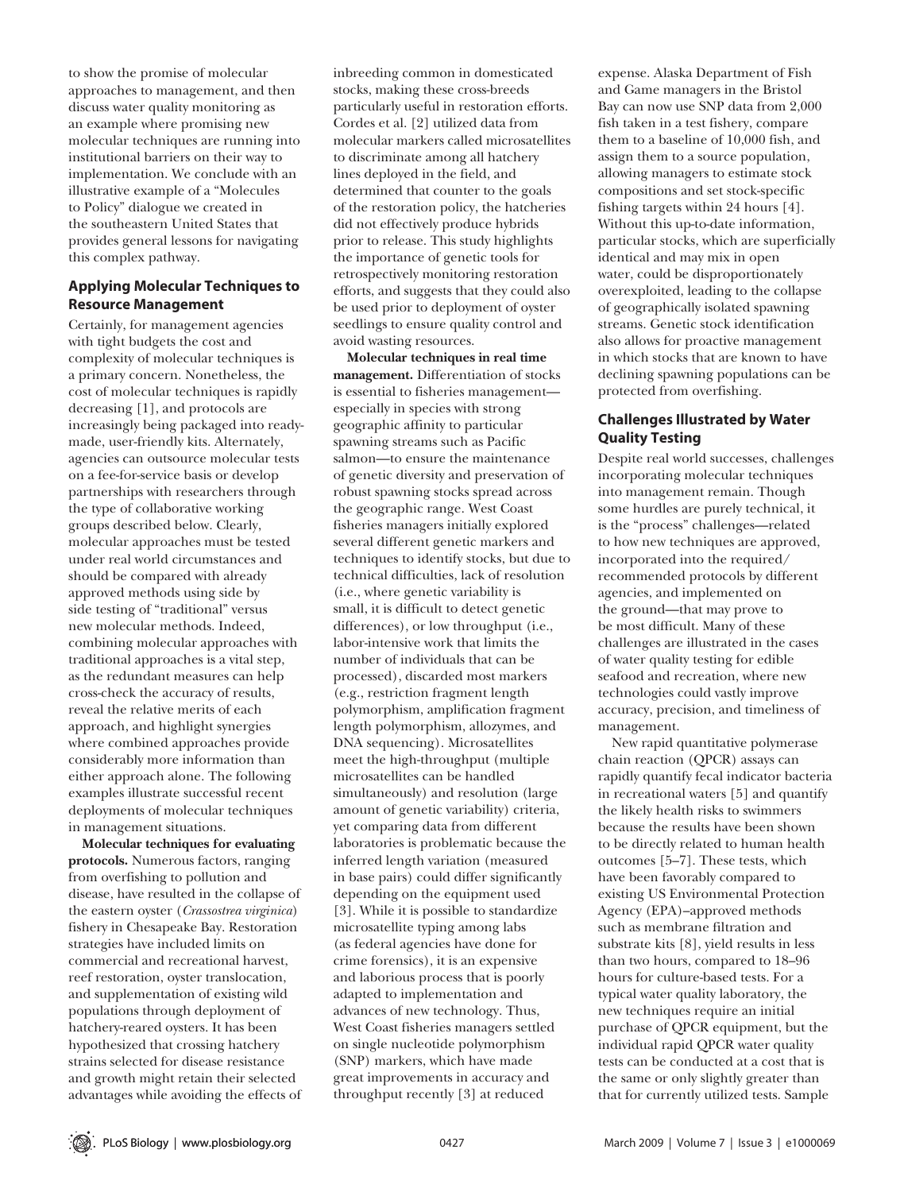to show the promise of molecular approaches to management, and then discuss water quality monitoring as an example where promising new molecular techniques are running into institutional barriers on their way to implementation. We conclude with an illustrative example of a "Molecules to Policy" dialogue we created in the southeastern United States that provides general lessons for navigating this complex pathway.

## **Applying Molecular Techniques to Resource Management**

Certainly, for management agencies with tight budgets the cost and complexity of molecular techniques is a primary concern. Nonetheless, the cost of molecular techniques is rapidly decreasing [1], and protocols are increasingly being packaged into readymade, user-friendly kits. Alternately, agencies can outsource molecular tests on a fee-for-service basis or develop partnerships with researchers through the type of collaborative working groups described below. Clearly, molecular approaches must be tested under real world circumstances and should be compared with already approved methods using side by side testing of "traditional" versus new molecular methods. Indeed, combining molecular approaches with traditional approaches is a vital step, as the redundant measures can help cross-check the accuracy of results, reveal the relative merits of each approach, and highlight synergies where combined approaches provide considerably more information than either approach alone. The following examples illustrate successful recent deployments of molecular techniques in management situations.

**Molecular techniques for evaluating protocols.** Numerous factors, ranging from overfishing to pollution and disease, have resulted in the collapse of the eastern oyster (*Crassostrea virginica*) fishery in Chesapeake Bay. Restoration strategies have included limits on commercial and recreational harvest, reef restoration, oyster translocation, and supplementation of existing wild populations through deployment of hatchery-reared oysters. It has been hypothesized that crossing hatchery strains selected for disease resistance and growth might retain their selected advantages while avoiding the effects of inbreeding common in domesticated stocks, making these cross-breeds particularly useful in restoration efforts. Cordes et al. [2] utilized data from molecular markers called microsatellites to discriminate among all hatchery lines deployed in the field, and determined that counter to the goals of the restoration policy, the hatcheries did not effectively produce hybrids prior to release. This study highlights the importance of genetic tools for retrospectively monitoring restoration efforts, and suggests that they could also be used prior to deployment of oyster seedlings to ensure quality control and avoid wasting resources.

**Molecular techniques in real time management.** Differentiation of stocks is essential to fisheries management especially in species with strong geographic affinity to particular spawning streams such as Pacific salmon—to ensure the maintenance of genetic diversity and preservation of robust spawning stocks spread across the geographic range. West Coast fisheries managers initially explored several different genetic markers and techniques to identify stocks, but due to technical difficulties, lack of resolution (i.e., where genetic variability is small, it is difficult to detect genetic differences), or low throughput (i.e., labor-intensive work that limits the number of individuals that can be processed), discarded most markers (e.g., restriction fragment length polymorphism, amplification fragment length polymorphism, allozymes, and DNA sequencing). Microsatellites meet the high-throughput (multiple microsatellites can be handled simultaneously) and resolution (large amount of genetic variability) criteria, yet comparing data from different laboratories is problematic because the inferred length variation (measured in base pairs) could differ significantly depending on the equipment used [3]. While it is possible to standardize microsatellite typing among labs (as federal agencies have done for crime forensics), it is an expensive and laborious process that is poorly adapted to implementation and advances of new technology. Thus, West Coast fisheries managers settled on single nucleotide polymorphism (SNP) markers, which have made great improvements in accuracy and throughput recently [3] at reduced

expense. Alaska Department of Fish and Game managers in the Bristol Bay can now use SNP data from 2,000 fish taken in a test fishery, compare them to a baseline of 10,000 fish, and assign them to a source population, allowing managers to estimate stock compositions and set stock-specific fishing targets within 24 hours [4]. Without this up-to-date information, particular stocks, which are superficially identical and may mix in open water, could be disproportionately overexploited, leading to the collapse of geographically isolated spawning streams. Genetic stock identification also allows for proactive management in which stocks that are known to have declining spawning populations can be protected from overfishing.

# **Challenges Illustrated by Water Quality Testing**

Despite real world successes, challenges incorporating molecular techniques into management remain. Though some hurdles are purely technical, it is the "process" challenges—related to how new techniques are approved, incorporated into the required/ recommended protocols by different agencies, and implemented on the ground—that may prove to be most difficult. Many of these challenges are illustrated in the cases of water quality testing for edible seafood and recreation, where new technologies could vastly improve accuracy, precision, and timeliness of management.

New rapid quantitative polymerase chain reaction (QPCR) assays can rapidly quantify fecal indicator bacteria in recreational waters [5] and quantify the likely health risks to swimmers because the results have been shown to be directly related to human health outcomes [5–7]. These tests, which have been favorably compared to existing US Environmental Protection Agency (EPA)–approved methods such as membrane filtration and substrate kits [8], yield results in less than two hours, compared to 18–96 hours for culture-based tests. For a typical water quality laboratory, the new techniques require an initial purchase of QPCR equipment, but the individual rapid QPCR water quality tests can be conducted at a cost that is the same or only slightly greater than that for currently utilized tests. Sample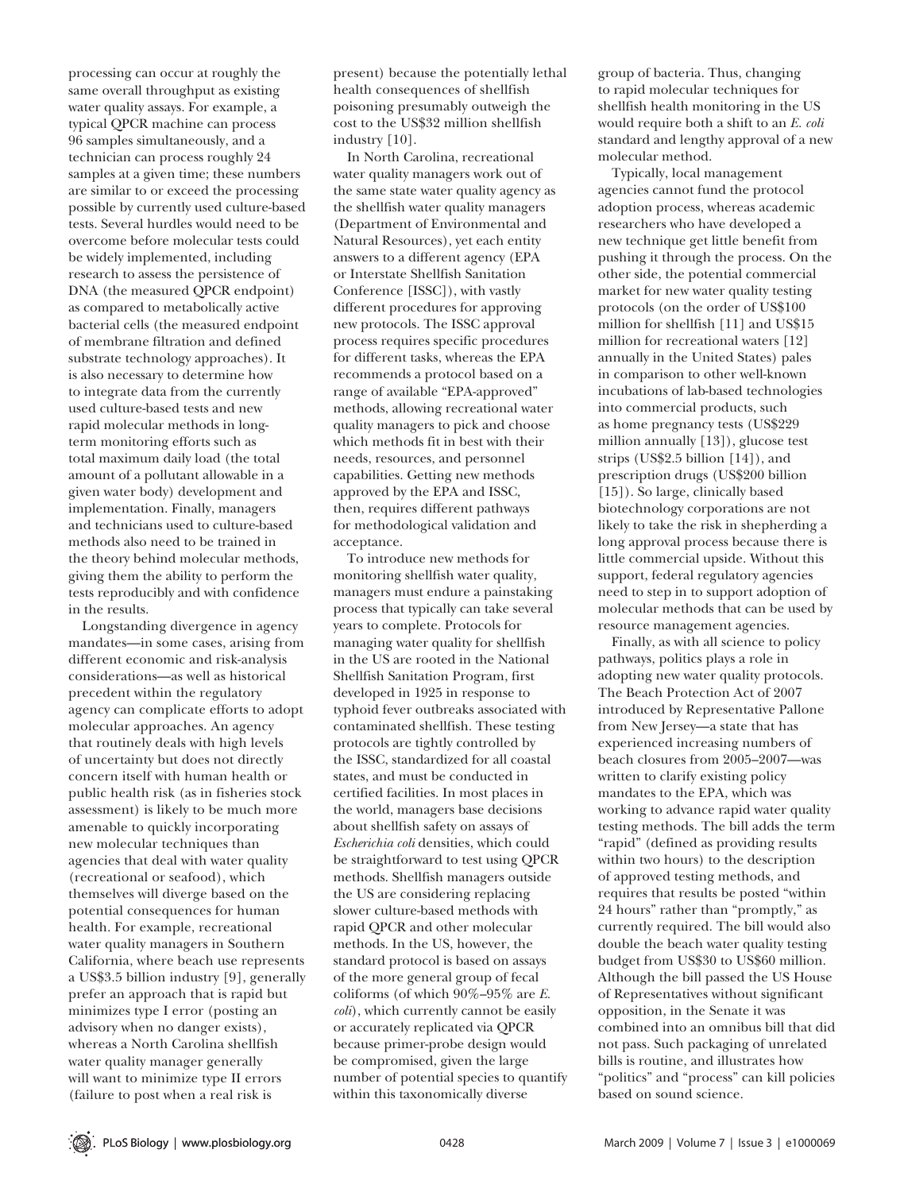processing can occur at roughly the same overall throughput as existing water quality assays. For example, a typical QPCR machine can process 96 samples simultaneously, and a technician can process roughly 24 samples at a given time; these numbers are similar to or exceed the processing possible by currently used culture-based tests. Several hurdles would need to be overcome before molecular tests could be widely implemented, including research to assess the persistence of DNA (the measured QPCR endpoint) as compared to metabolically active bacterial cells (the measured endpoint of membrane filtration and defined substrate technology approaches). It is also necessary to determine how to integrate data from the currently used culture-based tests and new rapid molecular methods in longterm monitoring efforts such as total maximum daily load (the total amount of a pollutant allowable in a given water body) development and implementation. Finally, managers and technicians used to culture-based methods also need to be trained in the theory behind molecular methods, giving them the ability to perform the tests reproducibly and with confidence in the results.

Longstanding divergence in agency mandates—in some cases, arising from different economic and risk-analysis considerations—as well as historical precedent within the regulatory agency can complicate efforts to adopt molecular approaches. An agency that routinely deals with high levels of uncertainty but does not directly concern itself with human health or public health risk (as in fisheries stock assessment) is likely to be much more amenable to quickly incorporating new molecular techniques than agencies that deal with water quality (recreational or seafood), which themselves will diverge based on the potential consequences for human health. For example, recreational water quality managers in Southern California, where beach use represents a US\$3.5 billion industry [9], generally prefer an approach that is rapid but minimizes type I error (posting an advisory when no danger exists), whereas a North Carolina shellfish water quality manager generally will want to minimize type II errors (failure to post when a real risk is

present) because the potentially lethal health consequences of shellfish poisoning presumably outweigh the cost to the US\$32 million shellfish industry [10].

In North Carolina, recreational water quality managers work out of the same state water quality agency as the shellfish water quality managers (Department of Environmental and Natural Resources), yet each entity answers to a different agency (EPA or Interstate Shellfish Sanitation Conference [ISSC]), with vastly different procedures for approving new protocols. The ISSC approval process requires specific procedures for different tasks, whereas the EPA recommends a protocol based on a range of available "EPA-approved" methods, allowing recreational water quality managers to pick and choose which methods fit in best with their needs, resources, and personnel capabilities. Getting new methods approved by the EPA and ISSC, then, requires different pathways for methodological validation and acceptance.

To introduce new methods for monitoring shellfish water quality, managers must endure a painstaking process that typically can take several years to complete. Protocols for managing water quality for shellfish in the US are rooted in the National Shellfish Sanitation Program, first developed in 1925 in response to typhoid fever outbreaks associated with contaminated shellfish. These testing protocols are tightly controlled by the ISSC, standardized for all coastal states, and must be conducted in certified facilities. In most places in the world, managers base decisions about shellfish safety on assays of *Escherichia coli* densities, which could be straightforward to test using QPCR methods. Shellfish managers outside the US are considering replacing slower culture-based methods with rapid QPCR and other molecular methods. In the US, however, the standard protocol is based on assays of the more general group of fecal coliforms (of which 90%–95% are *E. coli*), which currently cannot be easily or accurately replicated via QPCR because primer-probe design would be compromised, given the large number of potential species to quantify within this taxonomically diverse

group of bacteria. Thus, changing to rapid molecular techniques for shellfish health monitoring in the US would require both a shift to an *E. coli* standard and lengthy approval of a new molecular method.

Typically, local management agencies cannot fund the protocol adoption process, whereas academic researchers who have developed a new technique get little benefit from pushing it through the process. On the other side, the potential commercial market for new water quality testing protocols (on the order of US\$100 million for shellfish [11] and US\$15 million for recreational waters [12] annually in the United States) pales in comparison to other well-known incubations of lab-based technologies into commercial products, such as home pregnancy tests (US\$229 million annually [13]), glucose test strips (US\$2.5 billion [14]), and prescription drugs (US\$200 billion [15]). So large, clinically based biotechnology corporations are not likely to take the risk in shepherding a long approval process because there is little commercial upside. Without this support, federal regulatory agencies need to step in to support adoption of molecular methods that can be used by resource management agencies.

Finally, as with all science to policy pathways, politics plays a role in adopting new water quality protocols. The Beach Protection Act of 2007 introduced by Representative Pallone from New Jersey—a state that has experienced increasing numbers of beach closures from 2005–2007—was written to clarify existing policy mandates to the EPA, which was working to advance rapid water quality testing methods. The bill adds the term "rapid" (defined as providing results within two hours) to the description of approved testing methods, and requires that results be posted "within 24 hours" rather than "promptly," as currently required. The bill would also double the beach water quality testing budget from US\$30 to US\$60 million. Although the bill passed the US House of Representatives without significant opposition, in the Senate it was combined into an omnibus bill that did not pass. Such packaging of unrelated bills is routine, and illustrates how "politics" and "process" can kill policies based on sound science.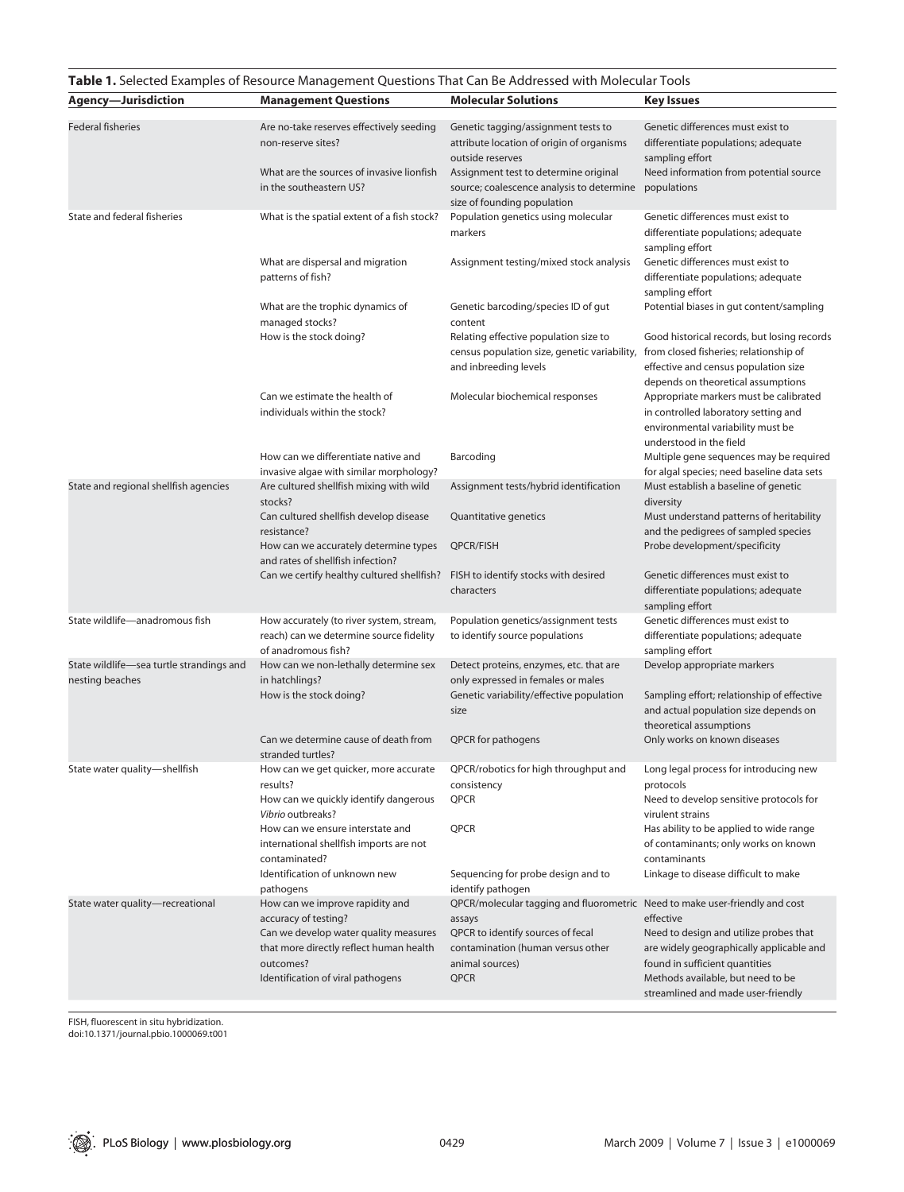|                                                             |                                                                                                                                                                                               | Table 1. Selected Examples of Resource Management Questions That Can Be Addressed with Molecular Tools                                                                                     |                                                                                                                                                                                                              |
|-------------------------------------------------------------|-----------------------------------------------------------------------------------------------------------------------------------------------------------------------------------------------|--------------------------------------------------------------------------------------------------------------------------------------------------------------------------------------------|--------------------------------------------------------------------------------------------------------------------------------------------------------------------------------------------------------------|
| Agency-Jurisdiction                                         | <b>Management Questions</b>                                                                                                                                                                   | <b>Molecular Solutions</b>                                                                                                                                                                 | Key Issues                                                                                                                                                                                                   |
| <b>Federal fisheries</b>                                    | Are no-take reserves effectively seeding<br>non-reserve sites?<br>What are the sources of invasive lionfish<br>in the southeastern US?                                                        | Genetic tagging/assignment tests to<br>attribute location of origin of organisms<br>outside reserves<br>Assignment test to determine original<br>source; coalescence analysis to determine | Genetic differences must exist to<br>differentiate populations; adequate<br>sampling effort<br>Need information from potential source<br>populations                                                         |
| State and federal fisheries                                 | What is the spatial extent of a fish stock?                                                                                                                                                   | size of founding population<br>Population genetics using molecular<br>markers                                                                                                              | Genetic differences must exist to<br>differentiate populations; adequate                                                                                                                                     |
|                                                             | What are dispersal and migration<br>patterns of fish?                                                                                                                                         | Assignment testing/mixed stock analysis                                                                                                                                                    | sampling effort<br>Genetic differences must exist to<br>differentiate populations; adequate<br>sampling effort                                                                                               |
|                                                             | What are the trophic dynamics of<br>managed stocks?                                                                                                                                           | Genetic barcoding/species ID of gut<br>content                                                                                                                                             | Potential biases in gut content/sampling                                                                                                                                                                     |
|                                                             | How is the stock doing?                                                                                                                                                                       | Relating effective population size to<br>census population size, genetic variability,<br>and inbreeding levels                                                                             | Good historical records, but losing records<br>from closed fisheries; relationship of<br>effective and census population size<br>depends on theoretical assumptions                                          |
|                                                             | Can we estimate the health of<br>individuals within the stock?                                                                                                                                | Molecular biochemical responses                                                                                                                                                            | Appropriate markers must be calibrated<br>in controlled laboratory setting and<br>environmental variability must be<br>understood in the field                                                               |
|                                                             | How can we differentiate native and<br>invasive algae with similar morphology?                                                                                                                | Barcoding                                                                                                                                                                                  | Multiple gene sequences may be required<br>for algal species; need baseline data sets                                                                                                                        |
| State and regional shellfish agencies                       | Are cultured shellfish mixing with wild<br>stocks?                                                                                                                                            | Assignment tests/hybrid identification                                                                                                                                                     | Must establish a baseline of genetic<br>diversity                                                                                                                                                            |
|                                                             | Can cultured shellfish develop disease<br>resistance?<br>How can we accurately determine types                                                                                                | Quantitative genetics<br><b>QPCR/FISH</b>                                                                                                                                                  | Must understand patterns of heritability<br>and the pedigrees of sampled species<br>Probe development/specificity                                                                                            |
|                                                             | and rates of shellfish infection?<br>Can we certify healthy cultured shellfish? FISH to identify stocks with desired                                                                          | characters                                                                                                                                                                                 | Genetic differences must exist to<br>differentiate populations; adequate                                                                                                                                     |
|                                                             |                                                                                                                                                                                               |                                                                                                                                                                                            | sampling effort                                                                                                                                                                                              |
| State wildlife-anadromous fish                              | How accurately (to river system, stream,<br>reach) can we determine source fidelity<br>of anadromous fish?                                                                                    | Population genetics/assignment tests<br>to identify source populations                                                                                                                     | Genetic differences must exist to<br>differentiate populations; adequate<br>sampling effort                                                                                                                  |
| State wildlife-sea turtle strandings and<br>nesting beaches | How can we non-lethally determine sex<br>in hatchlings?                                                                                                                                       | Detect proteins, enzymes, etc. that are<br>only expressed in females or males                                                                                                              | Develop appropriate markers                                                                                                                                                                                  |
|                                                             | How is the stock doing?                                                                                                                                                                       | Genetic variability/effective population<br>size                                                                                                                                           | Sampling effort; relationship of effective<br>and actual population size depends on<br>theoretical assumptions                                                                                               |
|                                                             | Can we determine cause of death from<br>stranded turtles?                                                                                                                                     | QPCR for pathogens                                                                                                                                                                         | Only works on known diseases                                                                                                                                                                                 |
| State water quality-shellfish                               | How can we get quicker, more accurate<br>results?<br>How can we quickly identify dangerous<br>Vibrio outbreaks?                                                                               | QPCR/robotics for high throughput and<br>consistency<br><b>QPCR</b>                                                                                                                        | Long legal process for introducing new<br>protocols<br>Need to develop sensitive protocols for<br>virulent strains                                                                                           |
|                                                             | How can we ensure interstate and<br>international shellfish imports are not<br>contaminated?                                                                                                  | <b>QPCR</b>                                                                                                                                                                                | Has ability to be applied to wide range<br>of contaminants; only works on known<br>contaminants                                                                                                              |
|                                                             | Identification of unknown new<br>pathogens                                                                                                                                                    | Sequencing for probe design and to<br>identify pathogen                                                                                                                                    | Linkage to disease difficult to make                                                                                                                                                                         |
| State water quality-recreational                            | How can we improve rapidity and<br>accuracy of testing?<br>Can we develop water quality measures<br>that more directly reflect human health<br>outcomes?<br>Identification of viral pathogens | QPCR/molecular tagging and fluorometric Need to make user-friendly and cost<br>assays<br>QPCR to identify sources of fecal<br>contamination (human versus other<br>animal sources)<br>QPCR | effective<br>Need to design and utilize probes that<br>are widely geographically applicable and<br>found in sufficient quantities<br>Methods available, but need to be<br>streamlined and made user-friendly |

FISH, fluorescent in situ hybridization.

doi:10.1371/journal.pbio.1000069.t001